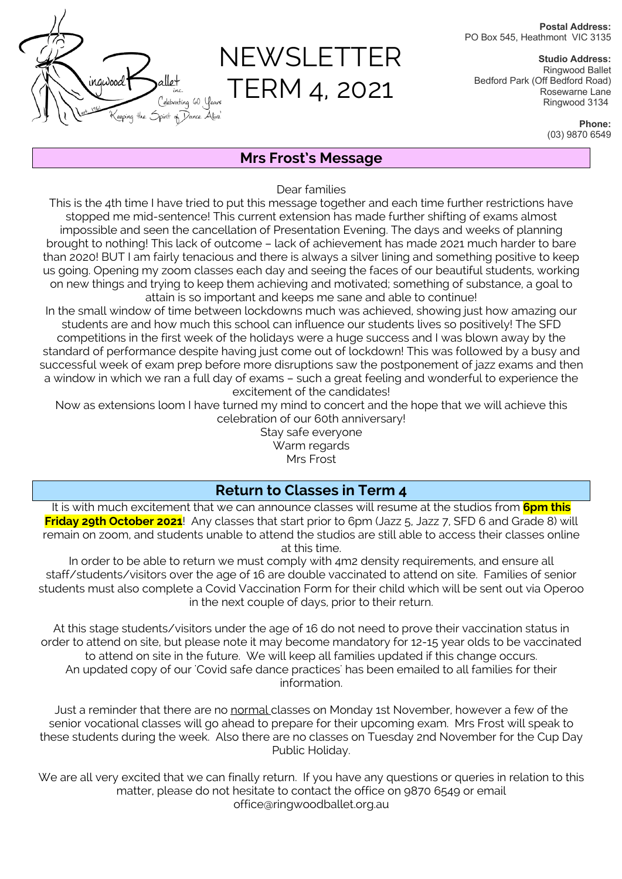**Postal Address:** PO Box 545, Heathmont VIC 3135

# NEWSLETTER TERM 4, 2021

**Studio Address:** Ringwood Ballet Bedford Park (Off Bedford Road) Rosewarne Lane Ringwood 3134

> **Phone:** (03) 9870 6549

# **Mrs Frost's Message**

Dear families

This is the 4th time I have tried to put this message together and each time further restrictions have stopped me mid-sentence! This current extension has made further shifting of exams almost impossible and seen the cancellation of Presentation Evening. The days and weeks of planning brought to nothing! This lack of outcome – lack of achievement has made 2021 much harder to bare than 2020! BUT I am fairly tenacious and there is always a silver lining and something positive to keep us going. Opening my zoom classes each day and seeing the faces of our beautiful students, working on new things and trying to keep them achieving and motivated; something of substance, a goal to attain is so important and keeps me sane and able to continue!

In the small window of time between lockdowns much was achieved, showing just how amazing our students are and how much this school can influence our students lives so positively! The SFD competitions in the first week of the holidays were a huge success and I was blown away by the standard of performance despite having just come out of lockdown! This was followed by a busy and successful week of exam prep before more disruptions saw the postponement of jazz exams and then a window in which we ran a full day of exams – such a great feeling and wonderful to experience the excitement of the candidates!

Now as extensions loom I have turned my mind to concert and the hope that we will achieve this celebration of our 60th anniversary!

Stay safe everyone Warm regards Mrs Frost

## **Return to Classes in Term 4**

It is with much excitement that we can announce classes will resume at the studios from **6pm this Friday 29th October 2021**! Any classes that start prior to 6pm (Jazz 5, Jazz 7, SFD 6 and Grade 8) will remain on zoom, and students unable to attend the studios are still able to access their classes online at this time.

In order to be able to return we must comply with 4m2 density requirements, and ensure all staff/students/visitors over the age of 16 are double vaccinated to attend on site. Families of senior students must also complete a Covid Vaccination Form for their child which will be sent out via Operoo in the next couple of days, prior to their return.

At this stage students/visitors under the age of 16 do not need to prove their vaccination status in order to attend on site, but please note it may become mandatory for 12-15 year olds to be vaccinated to attend on site in the future. We will keep all families updated if this change occurs. An updated copy of our 'Covid safe dance practices' has been emailed to all families for their information.

Just a reminder that there are no normal classes on Monday 1st November, however a few of the senior vocational classes will go ahead to prepare for their upcoming exam. Mrs Frost will speak to these students during the week. Also there are no classes on Tuesday 2nd November for the Cup Day Public Holiday.

We are all very excited that we can finally return. If you have any questions or queries in relation to this matter, please do not hesitate to contact the office on 9870 6549 or email office@ringwoodballet.org.au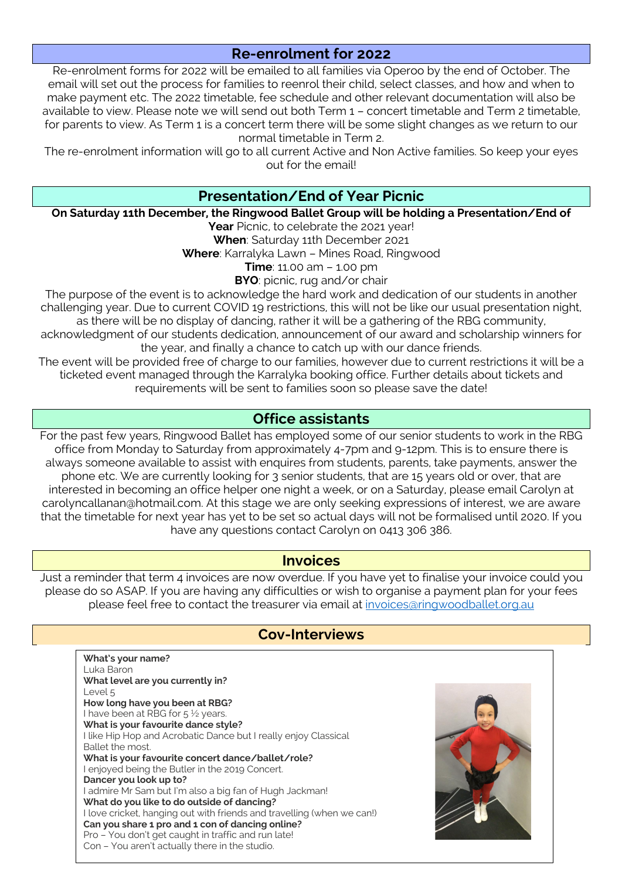## **Re-enrolment for 2022**

Re-enrolment forms for 2022 will be emailed to all families via Operoo by the end of October. The email will set out the process for families to reenrol their child, select classes, and how and when to make payment etc. The 2022 timetable, fee schedule and other relevant documentation will also be available to view. Please note we will send out both Term 1 – concert timetable and Term 2 timetable, for parents to view. As Term 1 is a concert term there will be some slight changes as we return to our normal timetable in Term 2.

The re-enrolment information will go to all current Active and Non Active families. So keep your eyes out for the email!

### **Presentation/End of Year Picnic**

#### **On Saturday 11th December, the Ringwood Ballet Group will be holding a Presentation/End of**

Year Picnic, to celebrate the 2021 year!

**When**: Saturday 11th December 2021

**Where**: Karralyka Lawn – Mines Road, Ringwood

**Time**: 11.00 am – 1.00 pm

**BYO**: picnic, rug and/or chair

The purpose of the event is to acknowledge the hard work and dedication of our students in another challenging year. Due to current COVID 19 restrictions, this will not be like our usual presentation night, as there will be no display of dancing, rather it will be a gathering of the RBG community,

acknowledgment of our students dedication, announcement of our award and scholarship winners for the year, and finally a chance to catch up with our dance friends.

The event will be provided free of charge to our families, however due to current restrictions it will be a ticketed event managed through the Karralyka booking office. Further details about tickets and requirements will be sent to families soon so please save the date!

#### **Office assistants**

For the past few years, Ringwood Ballet has employed some of our senior students to work in the RBG office from Monday to Saturday from approximately 4-7pm and 9-12pm. This is to ensure there is always someone available to assist with enquires from students, parents, take payments, answer the phone etc. We are currently looking for 3 senior students, that are 15 years old or over, that are interested in becoming an office helper one night a week, or on a Saturday, please email Carolyn at carolyncallanan@hotmail.com. At this stage we are only seeking expressions of interest, we are aware that the timetable for next year has yet to be set so actual days will not be formalised until 2020. If you have any questions contact Carolyn on 0413 306 386.

#### **Invoices**

Just a reminder that term 4 invoices are now overdue. If you have yet to finalise your invoice could you please do so ASAP. If you are having any difficulties or wish to organise a payment plan for your fees please feel free to contact the treasurer via email at invoices@ringwoodballet.org.au

#### **Cov-Interviews**

| What's your name?                                                      |
|------------------------------------------------------------------------|
| Luka Baron                                                             |
| What level are you currently in?                                       |
| Level <sub>5</sub>                                                     |
| How long have you been at RBG?                                         |
| I have been at RBG for 5 1/2 years.                                    |
| What is your favourite dance style?                                    |
| I like Hip Hop and Acrobatic Dance but I really enjoy Classical        |
| Ballet the most.                                                       |
| What is your favourite concert dance/ballet/role?                      |
| l enjoyed being the Butler in the 2019 Concert.                        |
| Dancer you look up to?                                                 |
| admire Mr Sam but I'm also a big fan of Hugh Jackman!                  |
| What do you like to do outside of dancing?                             |
| I love cricket, hanging out with friends and travelling (when we can!) |
| Can you share 1 pro and 1 con of dancing online?                       |
| Pro - You don't get caught in traffic and run late!                    |
| Con - You aren't actually there in the studio.                         |
|                                                                        |